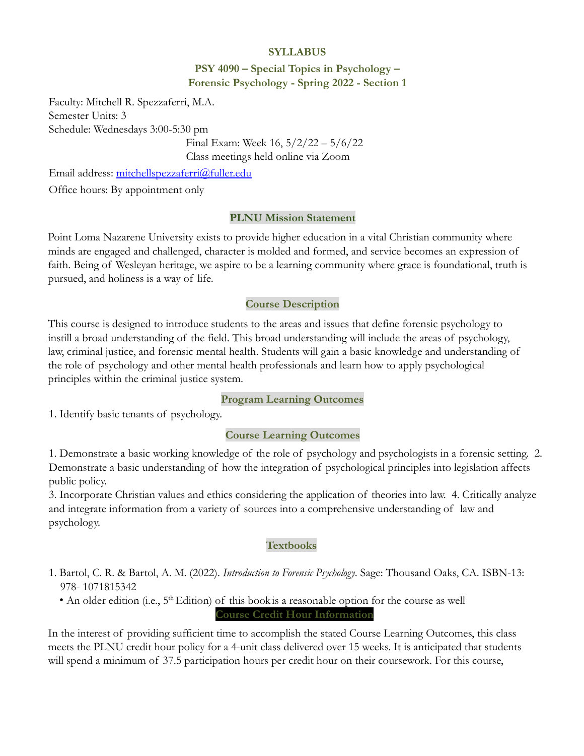#### **SYLLABUS**

# **PSY 4090 – Special Topics in Psychology – Forensic Psychology - Spring 2022 - Section 1**

Faculty: Mitchell R. Spezzaferri, M.A. Semester Units: 3 Schedule: Wednesdays 3:00-5:30 pm

> Final Exam: Week 16, 5/2/22 – 5/6/22 Class meetings held online via Zoom

Email address: mitchellspezzaferri@fuller.edu Office hours: By appointment only

# **PLNU Mission Statement**

Point Loma Nazarene University exists to provide higher education in a vital Christian community where minds are engaged and challenged, character is molded and formed, and service becomes an expression of faith. Being of Wesleyan heritage, we aspire to be a learning community where grace is foundational, truth is pursued, and holiness is a way of life.

# **Course Description**

This course is designed to introduce students to the areas and issues that define forensic psychology to instill a broad understanding of the field. This broad understanding will include the areas of psychology, law, criminal justice, and forensic mental health. Students will gain a basic knowledge and understanding of the role of psychology and other mental health professionals and learn how to apply psychological principles within the criminal justice system.

### **Program Learning Outcomes**

1. Identify basic tenants of psychology.

# **Course Learning Outcomes**

1. Demonstrate a basic working knowledge of the role of psychology and psychologists in a forensic setting. 2. Demonstrate a basic understanding of how the integration of psychological principles into legislation affects public policy.

3. Incorporate Christian values and ethics considering the application of theories into law. 4. Critically analyze and integrate information from a variety of sources into a comprehensive understanding of law and psychology.

# **Textbooks**

- 1. Bartol, C. R. & Bartol, A. M. (2022). *Introduction to Forensic Psychology*. Sage: Thousand Oaks, CA. ISBN-13: 978- 1071815342
	- An older edition (i.e.,  $5<sup>th</sup>$  Edition) of this book is a reasonable option for the course as well **Course Credit Hour Information**

In the interest of providing sufficient time to accomplish the stated Course Learning Outcomes, this class meets the PLNU credit hour policy for a 4-unit class delivered over 15 weeks. It is anticipated that students will spend a minimum of 37.5 participation hours per credit hour on their coursework. For this course,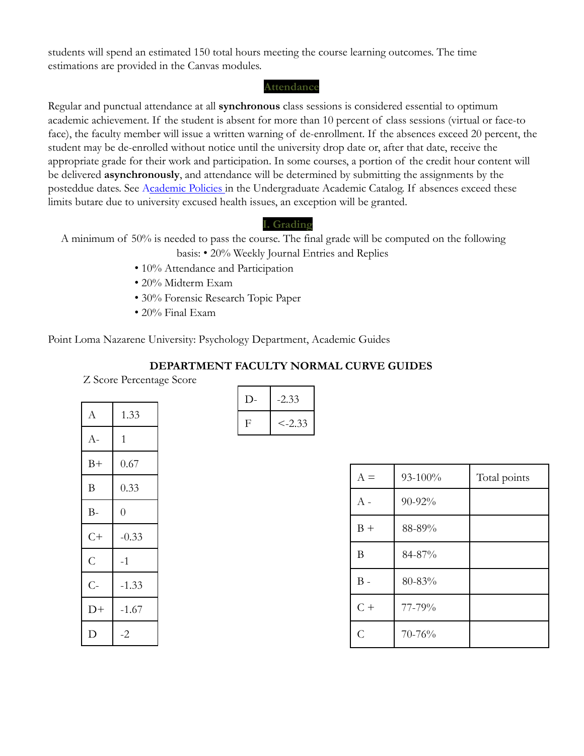students will spend an estimated 150 total hours meeting the course learning outcomes. The time estimations are provided in the Canvas modules.

#### **Attendance**

Regular and punctual attendance at all **synchronous** class sessions is considered essential to optimum academic achievement. If the student is absent for more than 10 percent of class sessions (virtual or face-to face), the faculty member will issue a written warning of de-enrollment. If the absences exceed 20 percent, the student may be de-enrolled without notice until the university drop date or, after that date, receive the appropriate grade for their work and participation. In some courses, a portion of the credit hour content will be delivered **asynchronously**, and attendance will be determined by submitting the assignments by the posteddue dates. See Academic Policies in the Undergraduate Academic Catalog. If absences exceed these limits butare due to university excused health issues, an exception will be granted.

# **I. Grading**

A minimum of 50% is needed to pass the course. The final grade will be computed on the following

basis: • 20% Weekly Journal Entries and Replies

- 10% Attendance and Participation
- 20% Midterm Exam
- 30% Forensic Research Topic Paper
- 20% Final Exam

Point Loma Nazarene University: Psychology Department, Academic Guides

# **DEPARTMENT FACULTY NORMAL CURVE GUIDES**

Z Score Percentage Score

| A              | 1.33           |
|----------------|----------------|
| $A-$           | 1              |
| $B+$           | 0.67           |
| Β              | 0.33           |
| $B-$           | $\overline{0}$ |
| $C+$           | $-0.33$        |
| $\overline{C}$ | $-1$           |
| $C-$           | $-1.33$        |
| $D+$           | $-1.67$        |
| D              | -2             |

|              | $-2.33$   |
|--------------|-----------|
| $\leftarrow$ | $<$ -2.33 |

| $A =$ | 93-100% | Total points |
|-------|---------|--------------|
| $A -$ | 90-92%  |              |
| $B +$ | 88-89%  |              |
| B     | 84-87%  |              |
| $B -$ | 80-83%  |              |
| $C +$ | 77-79%  |              |
| Ċ     | 70-76%  |              |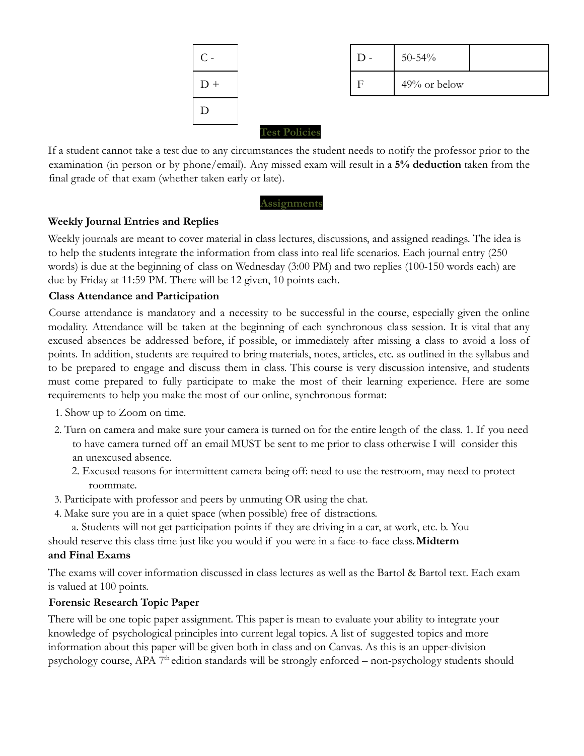| $C_{\iota}$ = |                 | $D -$ | $50 - 54\%$  |  |
|---------------|-----------------|-------|--------------|--|
| $D +$         |                 | F     | 49% or below |  |
| Ð             |                 |       |              |  |
|               | <b>Policies</b> |       |              |  |

If a student cannot take a test due to any circumstances the student needs to notify the professor prior to the examination (in person or by phone/email). Any missed exam will result in a **5% deduction** taken from the final grade of that exam (whether taken early or late).



# **Weekly Journal Entries and Replies**

Weekly journals are meant to cover material in class lectures, discussions, and assigned readings. The idea is to help the students integrate the information from class into real life scenarios. Each journal entry (250 words) is due at the beginning of class on Wednesday (3:00 PM) and two replies (100-150 words each) are due by Friday at 11:59 PM. There will be 12 given, 10 points each.

# **Class Attendance and Participation**

Course attendance is mandatory and a necessity to be successful in the course, especially given the online modality. Attendance will be taken at the beginning of each synchronous class session. It is vital that any excused absences be addressed before, if possible, or immediately after missing a class to avoid a loss of points. In addition, students are required to bring materials, notes, articles, etc. as outlined in the syllabus and to be prepared to engage and discuss them in class. This course is very discussion intensive, and students must come prepared to fully participate to make the most of their learning experience. Here are some requirements to help you make the most of our online, synchronous format:

# 1. Show up to Zoom on time.

- 2. Turn on camera and make sure your camera is turned on for the entire length of the class. 1. If you need to have camera turned off an email MUST be sent to me prior to class otherwise I will consider this an unexcused absence.
	- 2. Excused reasons for intermittent camera being off: need to use the restroom, may need to protect roommate.
- 3. Participate with professor and peers by unmuting OR using the chat.
- 4. Make sure you are in a quiet space (when possible) free of distractions.

a. Students will not get participation points if they are driving in a car, at work, etc. b. You should reserve this class time just like you would if you were in a face-to-face class.**Midterm**

# **and Final Exams**

The exams will cover information discussed in class lectures as well as the Bartol & Bartol text. Each exam is valued at 100 points.

# **Forensic Research Topic Paper**

There will be one topic paper assignment. This paper is mean to evaluate your ability to integrate your knowledge of psychological principles into current legal topics. A list of suggested topics and more information about this paper will be given both in class and on Canvas. As this is an upper-division psychology course, APA 7<sup>th</sup> edition standards will be strongly enforced – non-psychology students should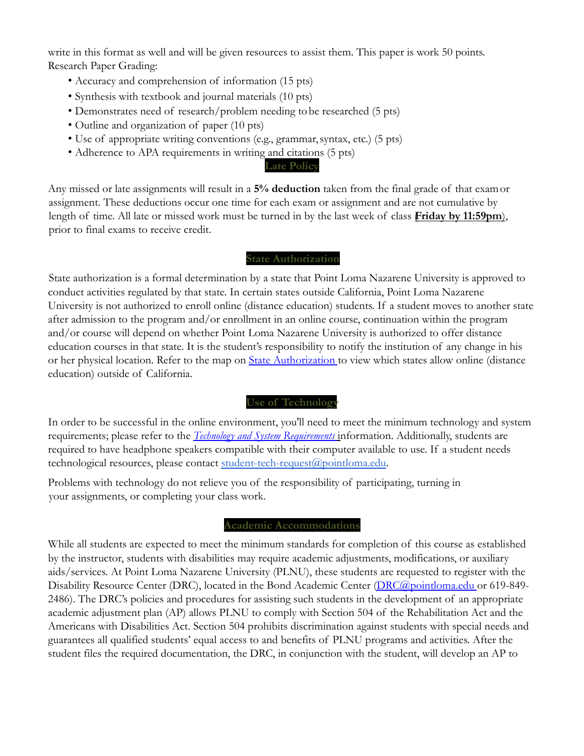write in this format as well and will be given resources to assist them. This paper is work 50 points. Research Paper Grading:

- Accuracy and comprehension of information (15 pts)
- Synthesis with textbook and journal materials (10 pts)
- Demonstrates need of research/problem needing tobe researched (5 pts)
- Outline and organization of paper (10 pts)
- Use of appropriate writing conventions (e.g., grammar,syntax, etc.) (5 pts)
- Adherence to APA requirements in writing and citations (5 pts)

**Late Policy**

Any missed or late assignments will result in a **5% deduction** taken from the final grade of that examor assignment. These deductions occur one time for each exam or assignment and are not cumulative by length of time. All late or missed work must be turned in by the last week of class **Friday by 11:59pm**), prior to final exams to receive credit.

### **State Authorization**

State authorization is a formal determination by a state that Point Loma Nazarene University is approved to conduct activities regulated by that state. In certain states outside California, Point Loma Nazarene University is not authorized to enroll online (distance education) students. If a student moves to another state after admission to the program and/or enrollment in an online course, continuation within the program and/or course will depend on whether Point Loma Nazarene University is authorized to offer distance education courses in that state. It is the student's responsibility to notify the institution of any change in his or her physical location. Refer to the map on State Authorization to view which states allow online (distance education) outside of California.

### **Use of Technology**

In order to be successful in the online environment, you'll need to meet the minimum technology and system requirements; please refer to the *Technology and System Requirements* information. Additionally, students are required to have headphone speakers compatible with their computer available to use. If a student needs technological resources, please contact student-tech-request@pointloma.edu.

Problems with technology do not relieve you of the responsibility of participating, turning in your assignments, or completing your class work.

### **Academic Accommodations**

While all students are expected to meet the minimum standards for completion of this course as established by the instructor, students with disabilities may require academic adjustments, modifications, or auxiliary aids/services. At Point Loma Nazarene University (PLNU), these students are requested to register with the Disability Resource Center (DRC), located in the Bond Academic Center (DRC@pointloma.edu or 619-849-2486). The DRC's policies and procedures for assisting such students in the development of an appropriate academic adjustment plan (AP) allows PLNU to comply with Section 504 of the Rehabilitation Act and the Americans with Disabilities Act. Section 504 prohibits discrimination against students with special needs and guarantees all qualified students' equal access to and benefits of PLNU programs and activities. After the student files the required documentation, the DRC, in conjunction with the student, will develop an AP to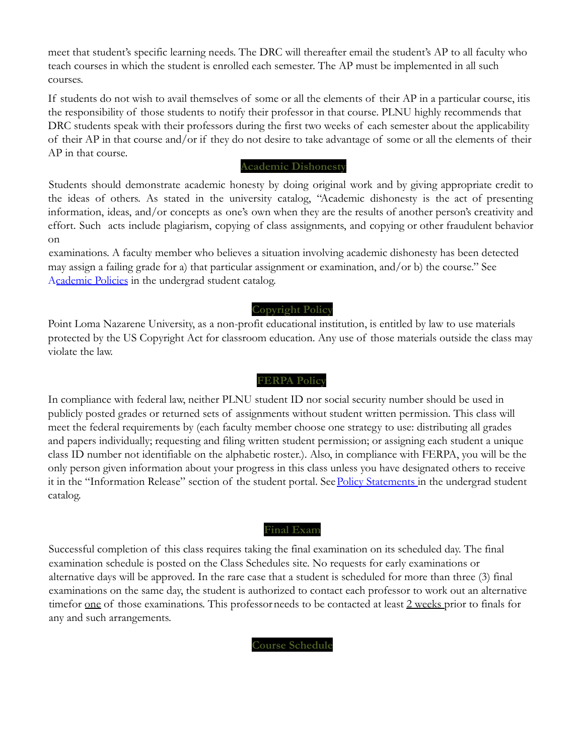meet that student's specific learning needs. The DRC will thereafter email the student's AP to all faculty who teach courses in which the student is enrolled each semester. The AP must be implemented in all such courses.

If students do not wish to avail themselves of some or all the elements of their AP in a particular course, itis the responsibility of those students to notify their professor in that course. PLNU highly recommends that DRC students speak with their professors during the first two weeks of each semester about the applicability of their AP in that course and/or if they do not desire to take advantage of some or all the elements of their AP in that course.

#### **Academic Dishonesty**

Students should demonstrate academic honesty by doing original work and by giving appropriate credit to the ideas of others. As stated in the university catalog, "Academic dishonesty is the act of presenting information, ideas, and/or concepts as one's own when they are the results of another person's creativity and effort. Such acts include plagiarism, copying of class assignments, and copying or other fraudulent behavior on

examinations. A faculty member who believes a situation involving academic dishonesty has been detected may assign a failing grade for a) that particular assignment or examination, and/or b) the course." See Academic Policies in the undergrad student catalog.

#### **Copyright Policy**

Point Loma Nazarene University, as a non-profit educational institution, is entitled by law to use materials protected by the US Copyright Act for classroom education. Any use of those materials outside the class may violate the law.

#### **FERPA Policy**

In compliance with federal law, neither PLNU student ID nor social security number should be used in publicly posted grades or returned sets of assignments without student written permission. This class will meet the federal requirements by (each faculty member choose one strategy to use: distributing all grades and papers individually; requesting and filing written student permission; or assigning each student a unique class ID number not identifiable on the alphabetic roster.). Also, in compliance with FERPA, you will be the only person given information about your progress in this class unless you have designated others to receive it in the "Information Release" section of the student portal. See Policy Statements in the undergrad student catalog.

### **Final Exam**

Successful completion of this class requires taking the final examination on its scheduled day. The final examination schedule is posted on the Class Schedules site. No requests for early examinations or alternative days will be approved. In the rare case that a student is scheduled for more than three (3) final examinations on the same day, the student is authorized to contact each professor to work out an alternative timefor <u>one</u> of those examinations. This professor needs to be contacted at least 2 weeks prior to finals for any and such arrangements.

**Course Schedule**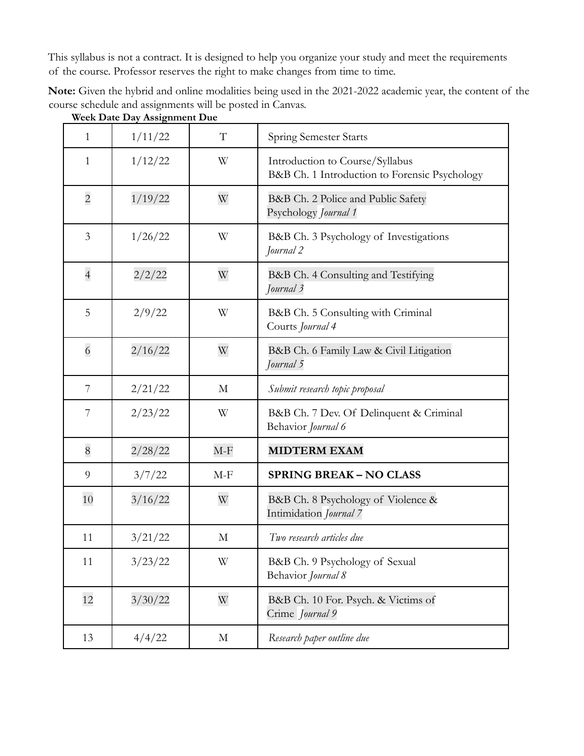This syllabus is not a contract. It is designed to help you organize your study and meet the requirements of the course. Professor reserves the right to make changes from time to time.

**Note:** Given the hybrid and online modalities being used in the 2021-2022 academic year, the content of the course schedule and assignments will be posted in Canvas.

| 1              | 1/11/22 | T     | Spring Semester Starts                                                           |
|----------------|---------|-------|----------------------------------------------------------------------------------|
| 1              | 1/12/22 | W     | Introduction to Course/Syllabus<br>B&B Ch. 1 Introduction to Forensic Psychology |
| $\overline{c}$ | 1/19/22 | W     | B&B Ch. 2 Police and Public Safety<br>Psychology Journal 1                       |
| 3              | 1/26/22 | W     | B&B Ch. 3 Psychology of Investigations<br>Journal 2                              |
| $\overline{4}$ | 2/2/22  | W     | B&B Ch. 4 Consulting and Testifying<br>Journal 3                                 |
| 5              | 2/9/22  | W     | B&B Ch. 5 Consulting with Criminal<br>Courts Journal 4                           |
| $\overline{6}$ | 2/16/22 | W     | B&B Ch. 6 Family Law & Civil Litigation<br>Journal 5                             |
| 7              | 2/21/22 | M     | Submit research topic proposal                                                   |
| 7              | 2/23/22 | W     | B&B Ch. 7 Dev. Of Delinquent & Criminal<br>Behavior Journal 6                    |
| 8              | 2/28/22 | $M-F$ | <b>MIDTERM EXAM</b>                                                              |
| 9              | 3/7/22  | $M-F$ | <b>SPRING BREAK - NO CLASS</b>                                                   |
| 10             | 3/16/22 | W     | B&B Ch. 8 Psychology of Violence &<br>Intimidation Journal 7                     |
| 11             | 3/21/22 | M     | Two research articles due                                                        |
| 11             | 3/23/22 | W     | B&B Ch. 9 Psychology of Sexual<br>Behavior Journal 8                             |
| 12             | 3/30/22 | W     | B&B Ch. 10 For. Psych. & Victims of<br>Crime Journal 9                           |
| 13             | 4/4/22  | M     | Research paper outline due                                                       |

**Week Date Day Assignment Due**